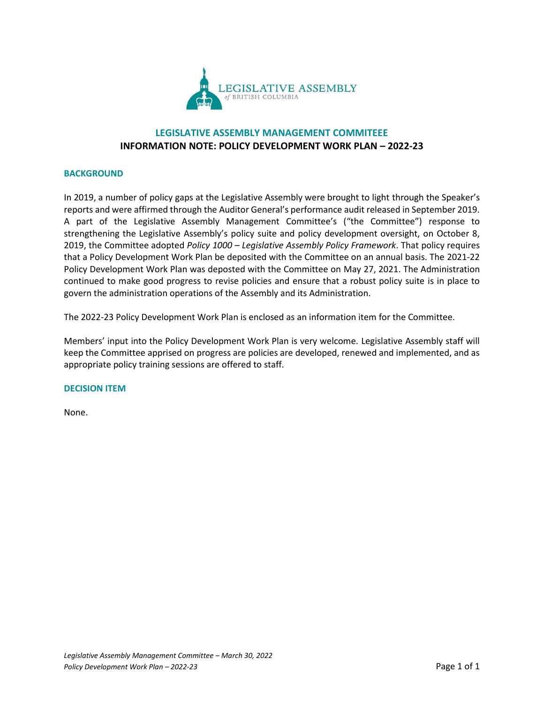

## **LEGISLATIVE ASSEMBLY MANAGEMENT COMMITEEE INFORMATION NOTE: POLICY DEVELOPMENT WORK PLAN – 2022-23**

## **BACKGROUND**

In 2019, a number of policy gaps at the Legislative Assembly were brought to light through the Speaker's reports and were affirmed through the Auditor General's performance audit released in September 2019. A part of the Legislative Assembly Management Committee's ("the Committee") response to strengthening the Legislative Assembly's policy suite and policy development oversight, on October 8, 2019, the Committee adopted *Policy 1000 – Legislative Assembly Policy Framework*. That policy requires that a Policy Development Work Plan be deposited with the Committee on an annual basis. The 2021-22 Policy Development Work Plan was deposted with the Committee on May 27, 2021. The Administration continued to make good progress to revise policies and ensure that a robust policy suite is in place to govern the administration operations of the Assembly and its Administration.

The 2022-23 Policy Development Work Plan is enclosed as an information item for the Committee.

Members' input into the Policy Development Work Plan is very welcome. Legislative Assembly staff will keep the Committee apprised on progress are policies are developed, renewed and implemented, and as appropriate policy training sessions are offered to staff.

## **DECISION ITEM**

None.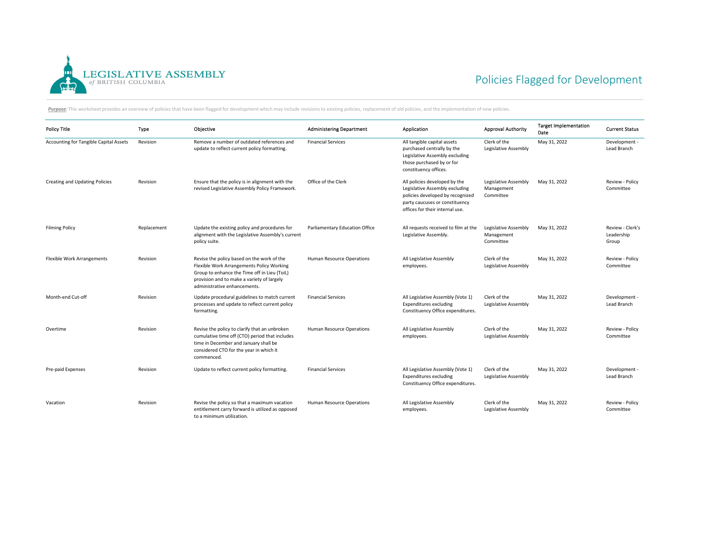

## Policies Flagged for Development

Purpose: This worksheet provides an overview of policies that have been flagged for development which may include revisions to existing policies, replacement of old policies, and the implementation of new policies.

| <b>Policy Title</b>                    | Type        | Objective                                                                                                                                                                                                             | <b>Administering Department</b>  | Application                                                                                                                                                              | <b>Approval Authority</b>                       | <b>Target Implementation</b><br>Date | <b>Current Status</b>                   |
|----------------------------------------|-------------|-----------------------------------------------------------------------------------------------------------------------------------------------------------------------------------------------------------------------|----------------------------------|--------------------------------------------------------------------------------------------------------------------------------------------------------------------------|-------------------------------------------------|--------------------------------------|-----------------------------------------|
| Accounting for Tangible Capital Assets | Revision    | Remove a number of outdated references and<br>update to reflect current policy formatting.                                                                                                                            | <b>Financial Services</b>        | All tangible capital assets<br>purchased centrally by the<br>Legislative Assembly excluding<br>those purchased by or for<br>constituency offices.                        | Clerk of the<br>Legislative Assembly            | May 31, 2022                         | Development -<br>Lead Branch            |
| Creating and Updating Policies         | Revision    | Ensure that the policy is in alignment with the<br>revised Legislative Assembly Policy Framework.                                                                                                                     | Office of the Clerk              | All policies developed by the<br>Legislative Assembly excluding<br>policies developed by recognized<br>party caucuses or constituency<br>offices for their internal use. | Legislative Assembly<br>Management<br>Committee | May 31, 2022                         | Review - Policy<br>Committee            |
| <b>Filming Policy</b>                  | Replacement | Update the existing policy and procedures for<br>alignment with the Legislative Assembly's current<br>policy suite.                                                                                                   | Parliamentary Education Office   | All requests received to film at the<br>Legislative Assembly.                                                                                                            | Legislative Assembly<br>Management<br>Committee | May 31, 2022                         | Review - Clerk's<br>Leadership<br>Group |
| <b>Flexible Work Arrangements</b>      | Revision    | Revise the policy based on the work of the<br>Flexible Work Arrangements Policy Working<br>Group to enhance the Time off in Lieu (ToiL)<br>provision and to make a variety of largely<br>administrative enhancements. | <b>Human Resource Operations</b> | All Legislative Assembly<br>employees.                                                                                                                                   | Clerk of the<br>Legislative Assembly            | May 31, 2022                         | Review - Policy<br>Committee            |
| Month-end Cut-off                      | Revision    | Update procedural guidelines to match current<br>processes and update to reflect current policy<br>formatting.                                                                                                        | <b>Financial Services</b>        | All Legislative Assembly (Vote 1)<br><b>Expenditures excluding</b><br>Constituency Office expenditures.                                                                  | Clerk of the<br>Legislative Assembly            | May 31, 2022                         | Development -<br>Lead Branch            |
| Overtime                               | Revision    | Revise the policy to clarify that an unbroken<br>cumulative time off (CTO) period that includes<br>time in December and January shall be<br>considered CTO for the year in which it<br>commenced.                     | <b>Human Resource Operations</b> | All Legislative Assembly<br>employees.                                                                                                                                   | Clerk of the<br>Legislative Assembly            | May 31, 2022                         | Review - Policy<br>Committee            |
| Pre-paid Expenses                      | Revision    | Update to reflect current policy formatting.                                                                                                                                                                          | <b>Financial Services</b>        | All Legislative Assembly (Vote 1)<br><b>Expenditures excluding</b><br>Constituency Office expenditures.                                                                  | Clerk of the<br>Legislative Assembly            | May 31, 2022                         | Development -<br>Lead Branch            |
| Vacation                               | Revision    | Revise the policy so that a maximum vacation<br>entitlement carry forward is utilized as opposed<br>to a minimum utilization.                                                                                         | <b>Human Resource Operations</b> | All Legislative Assembly<br>employees.                                                                                                                                   | Clerk of the<br>Legislative Assembly            | May 31, 2022                         | Review - Policy<br>Committee            |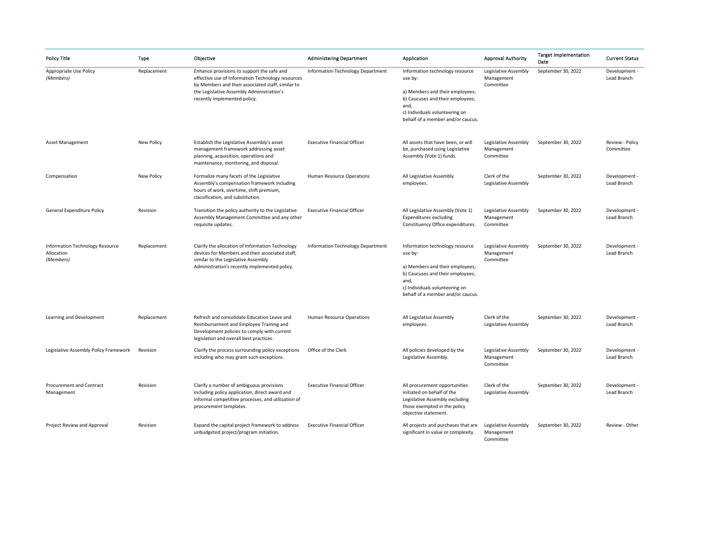| <b>Policy Title</b>                                               | Type              | Objective                                                                                                                                                                                                                         | <b>Administering Department</b>    | Application                                                                                                                                                                                      | <b>Approval Authority</b>                       | <b>Target Implementation</b><br>Date | <b>Current Status</b>        |
|-------------------------------------------------------------------|-------------------|-----------------------------------------------------------------------------------------------------------------------------------------------------------------------------------------------------------------------------------|------------------------------------|--------------------------------------------------------------------------------------------------------------------------------------------------------------------------------------------------|-------------------------------------------------|--------------------------------------|------------------------------|
| Appropriate Use Policy<br>(Members)                               | Replacement       | Enhance provisions to support the safe and<br>effective use of Information Technology resources<br>by Members and their associated staff, similar to<br>the Legislative Assembly Administration's<br>recently implemented policy. | Information Technology Department  | Information technology resource<br>use by:<br>a) Members and their employees;<br>b) Caucuses and their employees;<br>and,<br>c) Individuals volunteering on<br>behalf of a member and/or caucus. | Legislative Assembly<br>Management<br>Committee | September 30, 2022                   | Development -<br>Lead Branch |
| <b>Asset Management</b>                                           | New Policy        | Establish the Legislative Assembly's asset<br>management framework addressing asset<br>planning, acquisition, operations and<br>maintenance, monitoring, and disposal.                                                            | <b>Executive Financial Officer</b> | All assets that have been, or will<br>be, purchased using Legislative<br>Assembly (Vote 1) funds.                                                                                                | Legislative Assembly<br>Management<br>Committee | September 30, 2022                   | Review - Policy<br>Committee |
| Compensation                                                      | <b>New Policy</b> | Formalize many facets of the Legislative<br>Assembly's compensation framework including<br>hours of work, overtime, shift premium,<br>classification, and substitution.                                                           | Human Resource Operations          | All Legislative Assembly<br>employees.                                                                                                                                                           | Clerk of the<br>Legislative Assembly            | September 30, 2022                   | Development ·<br>Lead Branch |
| General Expenditure Policy                                        | Revision          | Transition the policy authority to the Legislative<br>Assembly Management Committee and any other<br>requisite updates.                                                                                                           | <b>Executive Financial Officer</b> | All Legislative Assembly (Vote 1)<br><b>Expenditures excluding</b><br>Constituency Office expenditures.                                                                                          | Legislative Assembly<br>Management<br>Committee | September 30, 2022                   | Development ·<br>Lead Branch |
| <b>Information Technology Resource</b><br>Allocation<br>(Members) | Replacement       | Clarify the allocation of Information Technology<br>devices for Members and their associated staff,<br>similar to the Legislative Assembly<br>Administration's recently implemented policy.                                       | Information Technology Department  | Information technology resource<br>use by:<br>a) Members and their employees;<br>b) Caucuses and their employees;<br>and,<br>c) Individuals volunteering on<br>behalf of a member and/or caucus. | Legislative Assembly<br>Management<br>Committee | September 30, 2022                   | Development -<br>Lead Branch |
| Learning and Development                                          | Replacement       | Refresh and consolidate Education Leave and<br>Reimbursement and Employee Training and<br>Development policies to comply with current<br>legislation and overall best practices.                                                  | Human Resource Operations          | All Legislative Assembly<br>employees.                                                                                                                                                           | Clerk of the<br>Legislative Assembly            | September 30, 2022                   | Development -<br>Lead Branch |
| Legislative Assembly Policy Framework                             | Revision          | Clarify the process surrounding policy exceptions<br>including who may grant such exceptions.                                                                                                                                     | Office of the Clerk                | All policies developed by the<br>Legislative Assembly.                                                                                                                                           | Legislative Assembly<br>Management<br>Committee | September 30, 2022                   | Development -<br>Lead Branch |
| Procurement and Contract<br>Management                            | Revision          | Clarify a number of ambiguous provisions<br>including policy application, direct award and<br>informal competitive processes, and utilization of<br>procurement templates.                                                        | <b>Executive Financial Officer</b> | All procurement opportunities<br>initiated on behalf of the<br>Legislative Assembly excluding<br>those exempted in the policy<br>objective statement.                                            | Clerk of the<br>Legislative Assembly            | September 30, 2022                   | Development ·<br>Lead Branch |
| Project Review and Approval                                       | Revision          | Expand the capital project framework to address<br>unbudgeted project/program initiation.                                                                                                                                         | <b>Executive Financial Officer</b> | All projects and purchases that are<br>significant in value or complexity.                                                                                                                       | Legislative Assembly<br>Management<br>Committee | September 30, 2022                   | Review - Other               |